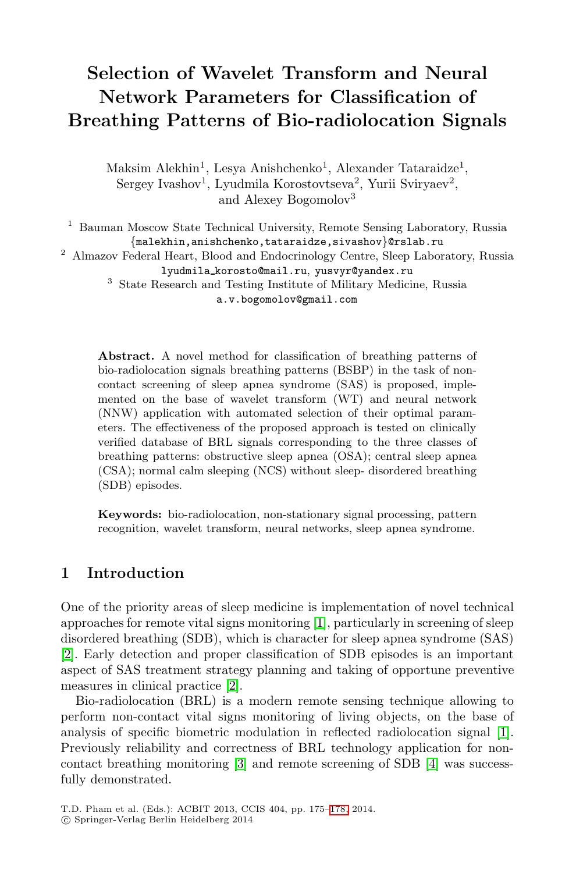# **Selection of Wavelet Transform and Neural Network Parameters for Classification of Breathing Patterns of Bio-radiolocation Signals**

Maksim Alekhin<sup>1</sup>, Lesya Anishchenko<sup>1</sup>, Alexander Tataraidze<sup>1</sup>, Sergey Ivashov<sup>1</sup>, Lyudmila Korostovtseva<sup>2</sup>, Yurii Sviryaev<sup>2</sup>, and Alexey Bogomolov<sup>3</sup>

<sup>1</sup> Bauman Moscow State Technical University, Remote Sensing Laboratory, Russia *{*malekhin,anishchenko,tataraidze,sivashov*}*@rslab.ru <sup>2</sup> Almazov Federal Heart, Blood and Endocrinology Centre, Sleep Laboratory, Russia

lyudmila korosto@mail.ru, yusvyr@yandex.ru

<sup>3</sup> State Research and Testing Institute of Military Medicine, Russia a.v.bogomolov@gmail.com

**Abstract.** A novel method for classification of breathing patterns of bio-radiolocation signals breathing patterns (BSBP) in the task of noncontact screening of sleep apnea syndrome (SAS) is proposed, implemented on the base of wavelet transform (WT) and neural network (NNW) application with automated selection of their optimal parameters. The effectiveness of the proposed approach is tested on clinically verified database of BRL signals corresponding to the three classes of breathing patterns: obstructive sleep apnea (OSA); central sleep apnea (CSA); normal calm sleeping (NCS) without sleep- disordered breathing (SDB) episodes.

**Keywords:** bio-radiolocation, non-stationary signal processing, pattern recognition, wavelet transform, neural networks, sleep apnea syndrome.

# **1 Intr[od](#page-3-0)uction**

One of the priority areas of sleep medicine is implementati[on](#page-3-1) of novel technical approaches for remote vital signs monitoring [1], particularly in screening of sleep disordered b[rea](#page-3-2)thing (SDB), which is characte[r f](#page-3-3)or sleep apnea syndrome (SAS) [2]. Early detection and proper classification of SDB episodes is an important aspect of SAS treatment strategy planning and taking of opportune preventive measures in clinical practice [\[2\].](#page-3-4)

Bio-radiolocation (BRL) is a modern remote sensing technique allowing to perform non-contact vital signs monitoring of living objects, on the base of analysis of specific biometric modulation in reflected radiolocation signal [1]. Previously reliability and correctness of BRL technology application for noncontact breathing monitoring [3] and remote screening of SDB [4] was successfully demonstrated.

T.D. Pham et al. (Eds.): ACBIT 2013, CCIS 404, pp. 175–178, 2014.

<sup>-</sup>c Springer-Verlag Berlin Heidelberg 2014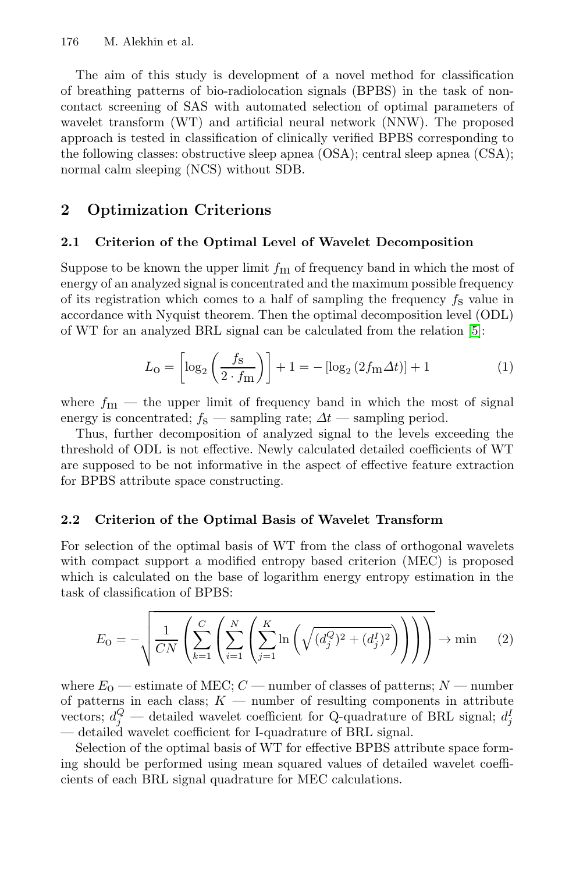176 M. Alekhin et al.

The aim of this study is development of a novel method for classification of breathing patterns of bio-radiolocation signals (BPBS) in the task of noncontact screening of SAS with automated selection of optimal parameters of wavelet transform (WT) and artificial neural network (NNW). The proposed approach is tested in classification of clinically verified BPBS corresponding to the following classes: obstructive sleep apnea (OSA); central sleep apnea (CSA); normal calm sleeping (NCS) without SDB.

# **2 Optimization Criterions**

#### **2.1 Criterion of the Optimal Level of Wavelet Decomposition**

Suppose to be known the upper limit  $f<sub>m</sub>$  of frequency band in which the most of energy of an analyzed signal is concentrated and the maximum possible frequency of its registration which comes to a half of sampling the frequency  $f_s$  value in accordance with Nyquist theorem. Then the optimal decomposition level (ODL) of WT for an analyzed BRL signal can be calculated from the relation [5]:

$$
L_0 = \left[ \log_2 \left( \frac{f_{\rm S}}{2 \cdot f_{\rm m}} \right) \right] + 1 = - \left[ \log_2 \left( 2f_{\rm m} \Delta t \right) \right] + 1 \tag{1}
$$

where  $f_{\rm m}$  — the upper limit of frequency band in which the most of signal energy is concentrated;  $f_s$  — sampling rate;  $\Delta t$  — sampling period.

Thus, further decomposition of analyzed signal to the levels exceeding the threshold of ODL is not effective. Newly calculated detailed coefficients of WT are supposed to be not informative in the aspect of effective feature extraction for BPBS attribute space constructing.

### **2.2 Criterion of the Optimal Basis of Wavelet Transform**

For selection of the optimal basis of WT from the class of orthogonal wavelets with compact support a modified entropy based criterion (MEC) is proposed which is calculated on the base of logarithm energy entropy estimation in the task of classification of BPBS:

$$
E_{\rm O} = -\sqrt{\frac{1}{CN} \left( \sum_{k=1}^{C} \left( \sum_{j=1}^{N} \left( \sum_{j=1}^{K} \ln \left( \sqrt{(d_j^Q)^2 + (d_j^I)^2} \right) \right) \right) \right)} \to \min \quad (2)
$$

where  $E_0$  — estimate of MEC;  $C$  — number of classes of patterns;  $N$  — number of patterns in each class;  $K$  — number of resulting components in attribute vectors;  $d_j^Q$  — detailed wavelet coefficient for Q-quadrature of BRL signal;  $d_j^Q$ — detailed wavelet coefficient for I-quadrature of BRL signal.

Selection of the optimal basis of WT for effective BPBS attribute space forming should be performed using mean squared values of detailed wavelet coefficients of each BRL signal quadrature for MEC calculations.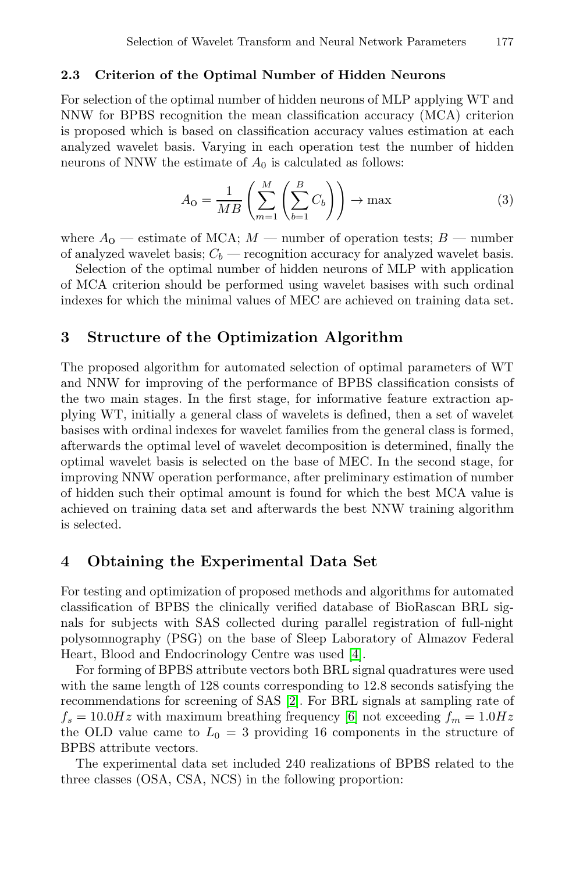#### **2.3 Criterion of the Optimal Number of Hidden Neurons**

For selection of the optimal number of hidden neurons of MLP applying WT and NNW for BPBS recognition the mean classification accuracy (MCA) criterion is proposed which is based on classification accuracy values estimation at each analyzed wavelet basis. Varying in each operation test the number of hidden neurons of NNW the estimate of  $A_0$  is calculated as follows:

$$
A_0 = \frac{1}{MB} \left( \sum_{m=1}^{M} \left( \sum_{b=1}^{B} C_b \right) \right) \to \max \tag{3}
$$

where  $A_0$  — estimate of MCA;  $M$  — number of operation tests;  $B$  — number of analyzed wavelet basis;  $C_b$  — recognition accuracy for analyzed wavelet basis.

Selection of the optimal number of hidden neurons of MLP with application of MCA criterion should be performed using wavelet basises with such ordinal indexes for which the minimal values of MEC are achieved on training data set.

### **3 Structure of the Optimization Algorithm**

The proposed algorithm for automated selection of optimal parameters of WT and NNW for improving of the performance of BPBS classification consists of the two main stages. In the first stage, for informative feature extraction applying WT, initially a general class of wavelets is defined, then a set of wavelet basises with ordinal indexes for wavelet families from the general class is formed, afterwards the optimal level of wavelet decomposition is determined, finally the optimal wavelet basis is selected on the base of MEC. In the second stage, for improving NNW operation performance, after preliminary estimation of number of hidden such their optimal amount is found for which the best MCA value is achieved on training data set and afterwards the best NNW training algorithm is selected.

# **4 Obtaining the Experimental Data Set**

For testing and optim[iza](#page-3-0)tion of [pro](#page-3-5)posed methods and algorithms for automated classification of BPBS the clinically verified database of BioRascan BRL signals for subjects with SAS collected during parallel registration of full-night polysomnography (PSG) on the base of Sleep Laboratory of Almazov Federal Heart, Blood and Endocrinology Centre was used [4].

For forming of BPBS attribute vectors both BRL signal quadratures were used with the same length of 128 counts corresponding to 12.8 seconds satisfying the recommendations for screening of SAS [2]. For BRL signals at sampling rate of  $f_s = 10.0Hz$  with maximum breathing frequency [6] not exceeding  $f_m = 1.0Hz$ the OLD value came to  $L_0 = 3$  providing 16 components in the structure of BPBS attribute vectors.

The experimental data set included 240 realizations of BPBS related to the three classes (OSA, CSA, NCS) in the following proportion: